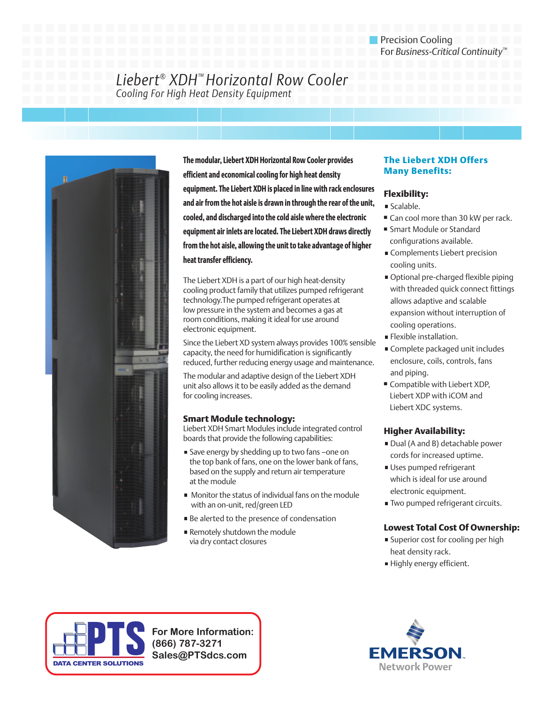# *Liebert® XDH™ Horizontal Row Cooler Cooling For High Heat Density Equipment*



**The modular, Liebert XDH Horizontal Row Cooler provides efficient and economical cooling for high heat density equipment. The Liebert XDH is placed in line with rack enclosures and air from the hot aisle is drawn in through the rear of the unit, cooled, and discharged into the cold aisle where the electronic equipment air inlets are located. The Liebert XDH draws directly from the hot aisle, allowing the unit to take advantage of higher heat transfer efficiency.**

The Liebert XDH is a part of our high heat-density cooling product family that utilizes pumped refrigerant technology.The pumped refrigerant operates at low pressure in the system and becomes a gas at room conditions, making it ideal for use around electronic equipment.

Since the Liebert XD system always provides 100% sensible capacity, the need for humidification is significantly reduced, further reducing energy usage and maintenance.

The modular and adaptive design of the Liebert XDH unit also allows it to be easily added as the demand for cooling increases.

## **Smart Module technology:**

Liebert XDH Smart Modules include integrated control boards that provide the following capabilities:

- Save energy by shedding up to two fans –one on the top bank of fans, one on the lower bank of fans, based on the supply and return air temperature at the module
- Monitor the status of individual fans on the module with an on-unit, red/green LED
- Be alerted to the presence of condensation
- Remotely shutdown the module via dry contact closures

## **The Liebert XDH Offers Many Benefits:**

## **Flexibility:**

- Scalable.
- Can cool more than 30 kW per rack.
- Smart Module or Standard configurations available.
- Complements Liebert precision cooling units.
- Optional pre-charged flexible piping with threaded quick connect fittings allows adaptive and scalable expansion without interruption of cooling operations.
- **Flexible installation.**
- Complete packaged unit includes enclosure, coils, controls, fans and piping.
- **■** Compatible with Liebert XDP, Liebert XDP with iCOM and Liebert XDC systems.

## **Higher Availability:**

- Dual (A and B) detachable power cords for increased uptime.
- Uses pumped refrigerant which is ideal for use around electronic equipment.
- **Two pumped refrigerant circuits.**

## **Lowest Total Cost Of Ownership:**

- **Superior cost for cooling per high** heat density rack.
- Highly energy efficient.



**For More Information: (866) 787-3271 Sales@PTSdcs.com**